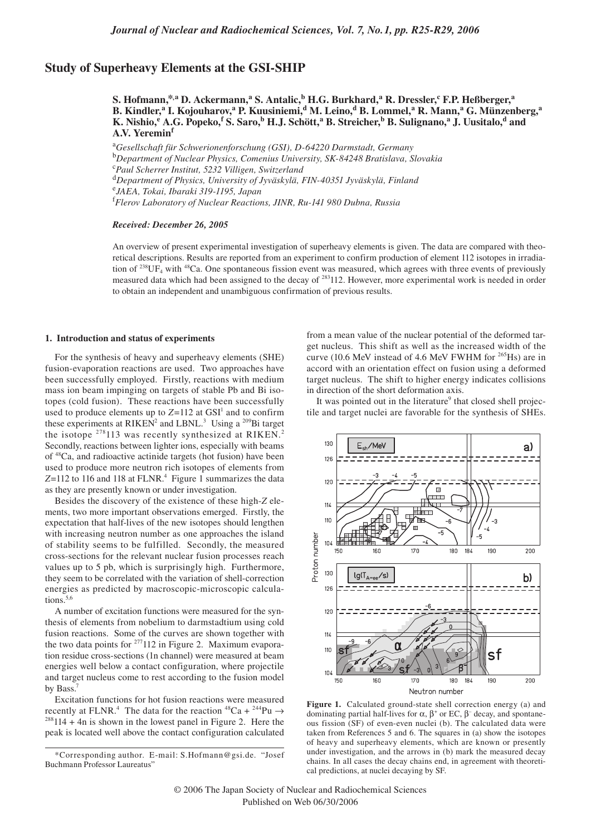# **Study of Superheavy Elements at the GSI-SHIP**

**S. Hofmann,\*,a D. Ackermann,<sup>a</sup> S. Antalic,b H.G. Burkhard,a R. Dressler,<sup>c</sup> F.P. Heßberger,<sup>a</sup> B. Kindler,<sup>a</sup> I. Kojouharov,<sup>a</sup> P. Kuusiniemi,d M. Leino,d B. Lommel,a R. Mann,<sup>a</sup> G. Münzenberg,<sup>a</sup> K. Nishio,<sup>e</sup> A.G. Popeko,<sup>f</sup> S. Saro,b H.J. Schött,a B. Streicher,b B. Sulignano,a J. Uusitalo,d and A.V. Yeremin<sup>f</sup>**

<sup>a</sup>*Gesellschaft für Schwerionenforschung (GSI), D-64220 Darmstadt, Germany* <sup>b</sup>*Department of Nuclear Physics, Comenius University, SK-84248 Bratislava, Slovakia* <sup>c</sup>*Paul Scherrer Institut, 5232 Villigen, Switzerland* <sup>d</sup>*Department of Physics, University of Jyväskylä, FIN-40351 Jyväskylä, Finland* <sup>e</sup>*JAEA, Tokai, Ibaraki 319-1195, Japan* <sup>f</sup>*Flerov Laboratory of Nuclear Reactions, JINR, Ru-141 980 Dubna, Russia*

### *Received: December 26, 2005*

An overview of present experimental investigation of superheavy elements is given. The data are compared with theoretical descriptions. Results are reported from an experiment to confirm production of element 112 isotopes in irradiation of  $^{238}$ UF<sub>4</sub> with  $^{48}$ Ca. One spontaneous fission event was measured, which agrees with three events of previously measured data which had been assigned to the decay of 283112. However, more experimental work is needed in order to obtain an independent and unambiguous confirmation of previous results.

#### **1. Introduction and status of experiments**

For the synthesis of heavy and superheavy elements (SHE) fusion-evaporation reactions are used. Two approaches have been successfully employed. Firstly, reactions with medium mass ion beam impinging on targets of stable Pb and Bi isotopes (cold fusion). These reactions have been successfully used to produce elements up to  $Z=112$  at  $GSI<sup>1</sup>$  and to confirm these experiments at RIKEN<sup>2</sup> and LBNL.<sup>3</sup> Using a <sup>209</sup>Bi target the isotope <sup>278</sup>113 was recently synthesized at RIKEN.<sup>2</sup> Secondly, reactions between lighter ions, especially with beams of 48Ca, and radioactive actinide targets (hot fusion) have been used to produce more neutron rich isotopes of elements from Z=112 to 116 and 118 at FLNR.<sup>4</sup> Figure 1 summarizes the data as they are presently known or under investigation.

Besides the discovery of the existence of these high-*Z* elements, two more important observations emerged. Firstly, the expectation that half-lives of the new isotopes should lengthen with increasing neutron number as one approaches the island of stability seems to be fulfilled. Secondly, the measured cross-sections for the relevant nuclear fusion processes reach values up to 5 pb, which is surprisingly high. Furthermore, they seem to be correlated with the variation of shell-correction energies as predicted by macroscopic-microscopic calculations.<sup>5,6</sup>

A number of excitation functions were measured for the synthesis of elements from nobelium to darmstadtium using cold fusion reactions. Some of the curves are shown together with the two data points for  $277112$  in Figure 2. Maximum evaporation residue cross-sections (1n channel) were measured at beam energies well below a contact configuration, where projectile and target nucleus come to rest according to the fusion model by Bass.<sup>7</sup>

Excitation functions for hot fusion reactions were measured recently at FLNR.<sup>4</sup> The data for the reaction  ${}^{48}Ca + {}^{244}Pu \rightarrow$  $288114 + 4n$  is shown in the lowest panel in Figure 2. Here the peak is located well above the contact configuration calculated

from a mean value of the nuclear potential of the deformed target nucleus. This shift as well as the increased width of the curve (10.6 MeV instead of 4.6 MeV FWHM for <sup>265</sup>Hs) are in accord with an orientation effect on fusion using a deformed target nucleus. The shift to higher energy indicates collisions in direction of the short deformation axis.

It was pointed out in the literature<sup>9</sup> that closed shell projectile and target nuclei are favorable for the synthesis of SHEs.



**Figure 1.** Calculated ground-state shell correction energy (a) and dominating partial half-lives for  $\alpha$ ,  $\beta$ <sup>+</sup> or EC,  $\beta$ <sup>-</sup> decay, and spontaneous fission (SF) of even-even nuclei (b). The calculated data were taken from References 5 and 6. The squares in (a) show the isotopes of heavy and superheavy elements, which are known or presently under investigation, and the arrows in (b) mark the measured decay chains. In all cases the decay chains end, in agreement with theoretical predictions, at nuclei decaying by SF.

<sup>\*</sup>Corresponding author. E-mail: S.Hofmann@gsi.de. "Josef Buchmann Professor Laureatus"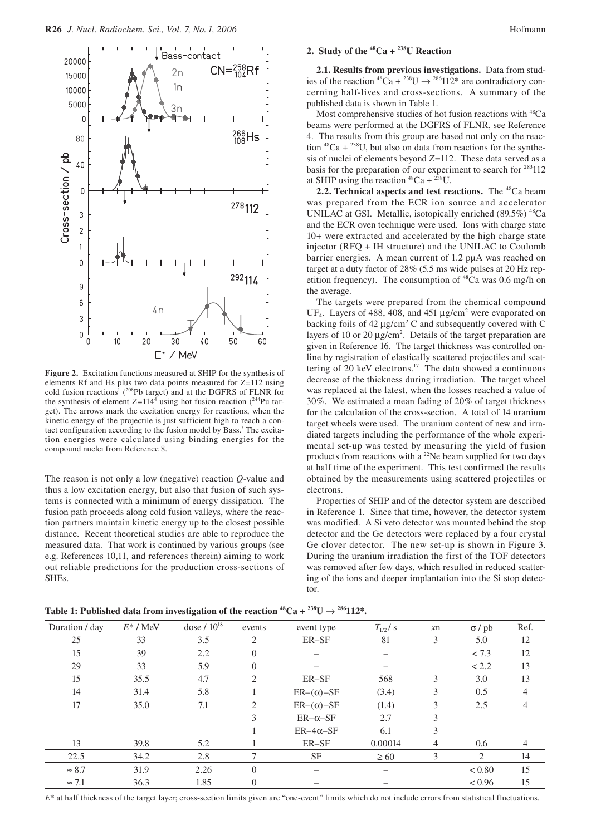

**Figure 2.** Excitation functions measured at SHIP for the synthesis of elements Rf and Hs plus two data points measured for *Z*=112 using cold fusion reactions<sup>1</sup> ( $^{208}Pb$  target) and at the DGFRS of FLNR for the synthesis of element  $Z=114^4$  using hot fusion reaction  $(^{244}$ Pu target). The arrows mark the excitation energy for reactions, when the kinetic energy of the projectile is just sufficient high to reach a contact configuration according to the fusion model by Bass.<sup>7</sup> The excitation energies were calculated using binding energies for the compound nuclei from Reference 8.

The reason is not only a low (negative) reaction *Q*-value and thus a low excitation energy, but also that fusion of such systems is connected with a minimum of energy dissipation. The fusion path proceeds along cold fusion valleys, where the reaction partners maintain kinetic energy up to the closest possible distance. Recent theoretical studies are able to reproduce the measured data. That work is continued by various groups (see e.g. References 10,11, and references therein) aiming to work out reliable predictions for the production cross-sections of SHEs.

# 2. Study of the  ${}^{48}Ca + {}^{238}U$  Reaction

**2.1. Results from previous investigations.** Data from studies of the reaction  ${}^{48}Ca + {}^{238}U \rightarrow {}^{286}112{}^{*}$  are contradictory concerning half-lives and cross-sections. A summary of the published data is shown in Table 1.

Most comprehensive studies of hot fusion reactions with 48Ca beams were performed at the DGFRS of FLNR, see Reference 4. The results from this group are based not only on the reaction  ${}^{48}Ca + {}^{238}U$ , but also on data from reactions for the synthesis of nuclei of elements beyond *Z*=112. These data served as a basis for the preparation of our experiment to search for  $283112$ at SHIP using the reaction  ${}^{48}Ca + {}^{238}U$ .

**2.2. Technical aspects and test reactions.** The <sup>48</sup>Ca beam was prepared from the ECR ion source and accelerator UNILAC at GSI. Metallic, isotopically enriched  $(89.5\%)$ <sup>48</sup>Ca and the ECR oven technique were used. Ions with charge state 10+ were extracted and accelerated by the high charge state injector (RFQ + IH structure) and the UNILAC to Coulomb barrier energies. A mean current of 1.2 pµA was reached on target at a duty factor of 28% (5.5 ms wide pulses at 20 Hz repetition frequency). The consumption of  $48Ca$  was 0.6 mg/h on the average.

The targets were prepared from the chemical compound UF<sub>4</sub>. Layers of 488, 408, and 451  $\mu$ g/cm<sup>2</sup> were evaporated on backing foils of  $42 \mu g/cm^2$  C and subsequently covered with C layers of 10 or 20  $\mu$ g/cm<sup>2</sup>. Details of the target preparation are given in Reference 16. The target thickness was controlled online by registration of elastically scattered projectiles and scattering of 20 keV electrons.<sup>17</sup> The data showed a continuous decrease of the thickness during irradiation. The target wheel was replaced at the latest, when the losses reached a value of 30%. We estimated a mean fading of 20% of target thickness for the calculation of the cross-section. A total of 14 uranium target wheels were used. The uranium content of new and irradiated targets including the performance of the whole experimental set-up was tested by measuring the yield of fusion products from reactions with a <sup>22</sup>Ne beam supplied for two days at half time of the experiment. This test confirmed the results obtained by the measurements using scattered projectiles or electrons.

Properties of SHIP and of the detector system are described in Reference 1. Since that time, however, the detector system was modified. A Si veto detector was mounted behind the stop detector and the Ge detectors were replaced by a four crystal Ge clover detector. The new set-up is shown in Figure 3. During the uranium irradiation the first of the TOF detectors was removed after few days, which resulted in reduced scattering of the ions and deeper implantation into the Si stop detector.

| Duration / day | $E^*$ / MeV | dose $/ 10^{18}$ | events         | $T_{1/2}$ / s<br>event type |           | $x$ n | $\sigma$ / pb               | Ref.           |
|----------------|-------------|------------------|----------------|-----------------------------|-----------|-------|-----------------------------|----------------|
| 25             | 33          | 3.5              | $\overline{2}$ | ER-SF                       | 81        | 3     | 5.0                         | 12             |
| 15             | 39          | 2.2              | $\Omega$       |                             |           |       | < 7.3                       | 12             |
| 29             | 33          | 5.9              | $\Omega$       |                             |           |       | < 2.2                       | 13             |
| 15             | 35.5        | 4.7              | 2              | ER-SF                       | 568       | 3     | 3.0                         | 13             |
| 14             | 31.4        | 5.8              |                | $ER-(\alpha)$ -SF           | (3.4)     | 3     | 0.5                         | 4              |
| 17             | 35.0        | 7.1              | 2              | $ER-(\alpha)$ -SF           | (1.4)     | 3     | 2.5                         | 4              |
|                |             |                  | 3              | $ER-\alpha-SF$              | 2.7       | 3     |                             |                |
|                |             |                  |                | $ER-4\alpha$ -SF            | 6.1       | 3     |                             |                |
| 13             | 39.8        | 5.2              |                | ER-SF                       | 0.00014   | 4     | 0.6                         | $\overline{4}$ |
| 22.5           | 34.2        | 2.8              | 7              | <b>SF</b>                   | $\geq 60$ | 3     | $\mathcal{D}_{\mathcal{L}}$ | 14             |
| $\approx 8.7$  | 31.9        | 2.26             | $\Omega$       |                             |           |       | < 0.80                      | 15             |
| $\approx 7.1$  | 36.3        | 1.85             | 0              |                             |           |       | < 0.96                      | 15             |

**Table 1: Published data from investigation of the reaction**  ${}^{48}Ca + {}^{238}U \rightarrow {}^{286}112*$ **.** 

*E*\* at half thickness of the target layer; cross-section limits given are "one-event" limits which do not include errors from statistical fluctuations.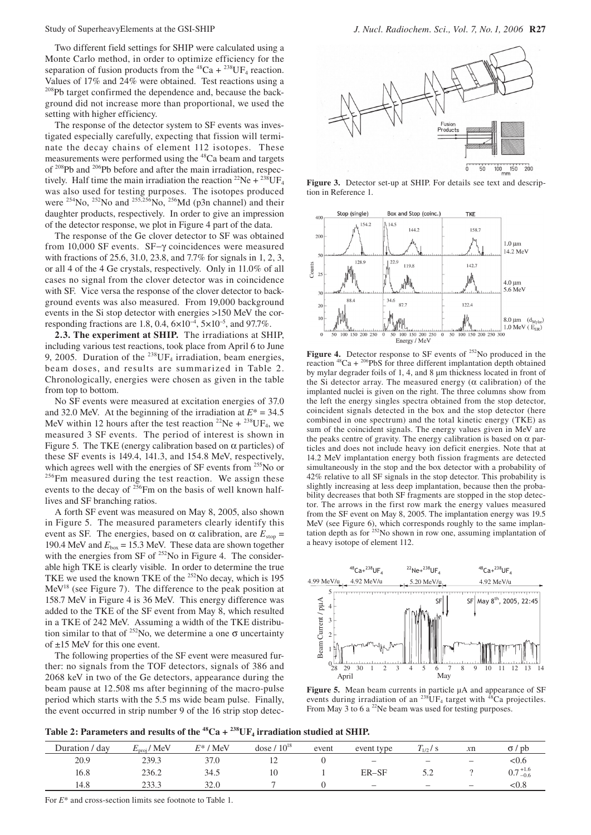Two different field settings for SHIP were calculated using a Monte Carlo method, in order to optimize efficiency for the separation of fusion products from the  ${}^{48}Ca + {}^{238}UF_4$  reaction. Values of 17% and 24% were obtained. Test reactions using a <sup>208</sup>Pb target confirmed the dependence and, because the background did not increase more than proportional, we used the setting with higher efficiency.

The response of the detector system to SF events was investigated especially carefully, expecting that fission will terminate the decay chains of element 112 isotopes. These measurements were performed using the <sup>48</sup>Ca beam and targets of 208Pb and 206Pb before and after the main irradiation, respectively. Half time the main irradiation the reaction <sup>22</sup>Ne + <sup>238</sup>UF<sub>4</sub> was also used for testing purposes. The isotopes produced were <sup>254</sup>No, <sup>252</sup>No and <sup>255,256</sup>No, <sup>256</sup>Md (p3n channel) and their daughter products, respectively. In order to give an impression of the detector response, we plot in Figure 4 part of the data.

The response of the Ge clover detector to SF was obtained from 10,000 SF events. SF−γ coincidences were measured with fractions of 25.6, 31.0, 23.8, and 7.7% for signals in 1, 2, 3, or all 4 of the 4 Ge crystals, respectively. Only in 11.0% of all cases no signal from the clover detector was in coincidence with SF. Vice versa the response of the clover detector to background events was also measured. From 19,000 background events in the Si stop detector with energies >150 MeV the corresponding fractions are 1.8, 0.4,  $6 \times 10^{-4}$ ,  $5 \times 10^{-5}$ , and 97.7%.

**2.3. The experiment at SHIP.** The irradiations at SHIP, including various test reactions, took place from April 6 to June 9, 2005. Duration of the  $^{238}$ UF<sub>4</sub> irradiation, beam energies, beam doses, and results are summarized in Table 2. Chronologically, energies were chosen as given in the table from top to bottom.

No SF events were measured at excitation energies of 37.0 and 32.0 MeV. At the beginning of the irradiation at  $E^* = 34.5$ MeV within 12 hours after the test reaction <sup>22</sup>Ne + <sup>238</sup>UF<sub>4</sub>, we measured 3 SF events. The period of interest is shown in Figure 5. The TKE (energy calibration based on  $\alpha$  particles) of these SF events is 149.4, 141.3, and 154.8 MeV, respectively, which agrees well with the energies of SF events from  $^{255}$ No or  $^{256}$ Fm measured during the test reaction. We assign these events to the decay of <sup>256</sup>Fm on the basis of well known halflives and SF branching ratios.

A forth SF event was measured on May 8, 2005, also shown in Figure 5. The measured parameters clearly identify this event as SF. The energies, based on  $\alpha$  calibration, are  $E_{\text{stop}} =$ 190.4 MeV and  $E_{box} = 15.3$  MeV. These data are shown together with the energies from SF of <sup>252</sup>No in Figure 4. The considerable high TKE is clearly visible. In order to determine the true TKE we used the known TKE of the 252No decay, which is 195 MeV<sup>18</sup> (see Figure 7). The difference to the peak position at 158.7 MeV in Figure 4 is 36 MeV. This energy difference was added to the TKE of the SF event from May 8, which resulted in a TKE of 242 MeV. Assuming a width of the TKE distribution similar to that of <sup>252</sup>No, we determine a one  $\sigma$  uncertainty of ±15 MeV for this one event.

The following properties of the SF event were measured further: no signals from the TOF detectors, signals of 386 and 2068 keV in two of the Ge detectors, appearance during the beam pause at 12.508 ms after beginning of the macro-pulse period which starts with the 5.5 ms wide beam pulse. Finally, the event occurred in strip number 9 of the 16 strip stop detec-



**Figure 3.** Detector set-up at SHIP. For details see text and description in Reference 1.



Figure 4. Detector response to SF events of <sup>252</sup>No produced in the reaction  $48Ca + \frac{206}{9}PbS$  for three different implantation depth obtained by mylar degrader foils of 1, 4, and 8 µm thickness located in front of the Si detector array. The measured energy (α calibration) of the implanted nuclei is given on the right. The three columns show from the left the energy singles spectra obtained from the stop detector, coincident signals detected in the box and the stop detector (here combined in one spectrum) and the total kinetic energy (TKE) as sum of the coincident signals. The energy values given in MeV are the peaks centre of gravity. The energy calibration is based on  $\alpha$  particles and does not include heavy ion deficit energies. Note that at 14.2 MeV implantation energy both fission fragments are detected simultaneously in the stop and the box detector with a probability of 42% relative to all SF signals in the stop detector. This probability is slightly increasing at less deep implantation, because then the probability decreases that both SF fragments are stopped in the stop detector. The arrows in the first row mark the energy values measured from the SF event on May 8, 2005. The implantation energy was 19.5 MeV (see Figure 6), which corresponds roughly to the same implantation depth as for  $^{252}$ No shown in row one, assuming implantation of a heavy isotope of element 112.



**Figure 5.** Mean beam currents in particle µA and appearance of SF events during irradiation of an <sup>238</sup>UF<sub>4</sub> target with <sup>48</sup>Ca projectiles. From May 3 to 6 a  $^{22}$ Ne beam was used for testing purposes.

Table 2: Parameters and results of the  ${}^{48}Ca + {}^{238}UF_4$  irradiation studied at SHIP.

| $^{\prime}$ day<br>Duration / | $E_{\text{proj}}/$ MeV | $E^*$ / MeV | dose $/ 10^{18}$ | event | event type               | $T_{1/2}$ / S            | x <sub>n</sub>           | $\sigma$ / pb       |
|-------------------------------|------------------------|-------------|------------------|-------|--------------------------|--------------------------|--------------------------|---------------------|
| 20.9                          | 239.3                  | 37.0        | $\overline{1}$   |       | $\overline{\phantom{m}}$ |                          |                          | <0.6                |
| 16.8                          | 236.2                  | 34.5        | 10               |       | ER–SF                    | ے . ب                    |                          | $0.7^{+1.6}_{-0.6}$ |
| 14.8                          | 233.3                  | 32.0        |                  |       | $\overline{\phantom{m}}$ | $\overline{\phantom{m}}$ | $\overline{\phantom{m}}$ | < 0.8               |

For *E*\* and cross-section limits see footnote to Table 1.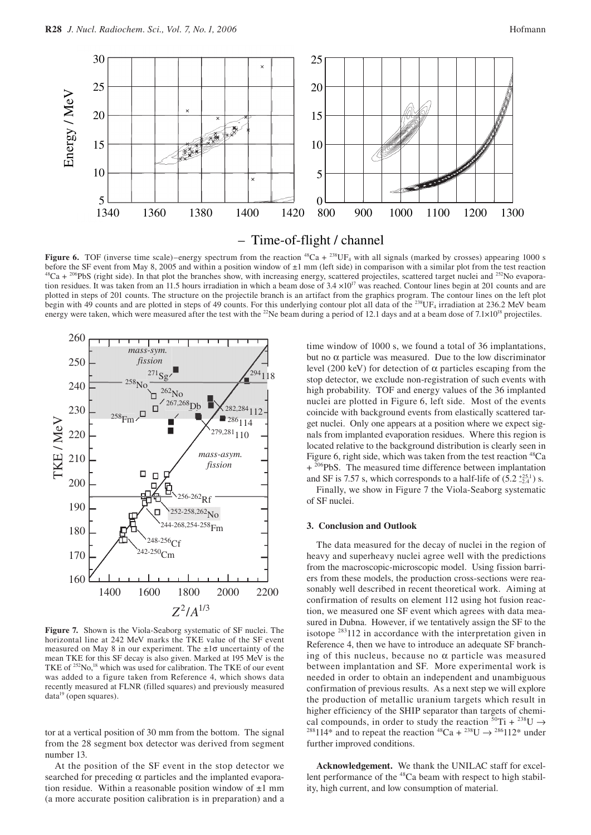

– Time-of-flight / channel

**Figure 6.** TOF (inverse time scale)–energy spectrum from the reaction  $^{48}Ca + ^{238}UF_4$  with all signals (marked by crosses) appearing 1000 s before the SF event from May 8, 2005 and within a position window of  $\pm 1$  mm <sup>48</sup>Ca + <sup>206</sup>PbS (right side). In that plot the branches show, with increasing energy, scattered projectiles, scattered target nuclei and <sup>252</sup>No evaporation residues. It was taken from an 11.5 hours irradiation in which a beam dose of  $3.4 \times 10^{17}$  was reached. Contour lines begin at 201 counts and are plotted in steps of 201 counts. The structure on the projectile branch is an artifact from the graphics program. The contour lines on the left plot begin with 49 counts and are plotted in steps of 49 counts. For this underlying contour plot all data of the <sup>238</sup>UF<sub>4</sub> irradiation at 236.2 MeV beam energy were taken, which were measured after the test with the <sup>22</sup>Ne beam during a period of 12.1 days and at a beam dose of  $7.1 \times 10^{18}$  projectiles.



**Figure 7.** Shown is the Viola-Seaborg systematic of SF nuclei. The horizontal line at 242 MeV marks the TKE value of the SF event measured on May 8 in our experiment. The ±1σ uncertainty of the mean TKE for this SF decay is also given. Marked at 195 MeV is the TKE of <sup>252</sup>No,<sup>18</sup> which was used for calibration. The TKE of our event was added to a figure taken from Reference 4, which shows data recently measured at FLNR (filled squares) and previously measured data<sup>19</sup> (open squares).

tor at a vertical position of 30 mm from the bottom. The signal from the 28 segment box detector was derived from segment number 13.

At the position of the SF event in the stop detector we searched for preceding α particles and the implanted evaporation residue. Within a reasonable position window of  $\pm 1$  mm (a more accurate position calibration is in preparation) and a

time window of 1000 s, we found a total of 36 implantations, but no α particle was measured. Due to the low discriminator level (200 keV) for detection of α particles escaping from the stop detector, we exclude non-registration of such events with high probability. TOF and energy values of the 36 implanted nuclei are plotted in Figure 6, left side. Most of the events coincide with background events from elastically scattered target nuclei. Only one appears at a position where we expect signals from implanted evaporation residues. Where this region is located relative to the background distribution is clearly seen in Figure 6, right side, which was taken from the test reaction  ${}^{48}Ca$ + <sup>206</sup>PbS. The measured time difference between implantation and SF is 7.57 s, which corresponds to a half-life of  $(5.2 \frac{+25.1}{-2.4})$  s.

Finally, we show in Figure 7 the Viola-Seaborg systematic of SF nuclei.

### **3. Conclusion and Outlook**

The data measured for the decay of nuclei in the region of heavy and superheavy nuclei agree well with the predictions from the macroscopic-microscopic model. Using fission barriers from these models, the production cross-sections were reasonably well described in recent theoretical work. Aiming at confirmation of results on element 112 using hot fusion reaction, we measured one SF event which agrees with data measured in Dubna. However, if we tentatively assign the SF to the isotope 283112 in accordance with the interpretation given in Reference 4, then we have to introduce an adequate SF branching of this nucleus, because no  $\alpha$  particle was measured between implantation and SF. More experimental work is needed in order to obtain an independent and unambiguous confirmation of previous results. As a next step we will explore the production of metallic uranium targets which result in higher efficiency of the SHIP separator than targets of chemical compounds, in order to study the reaction  ${}^{50}\text{Ti} + {}^{238}\text{U} \rightarrow$ <sup>288</sup>114<sup>\*</sup> and to repeat the reaction <sup>48</sup>Ca + <sup>238</sup>U  $\rightarrow$  <sup>286</sup>112<sup>\*</sup> under further improved conditions.

**Acknowledgement.** We thank the UNILAC staff for excellent performance of the <sup>48</sup>Ca beam with respect to high stability, high current, and low consumption of material.